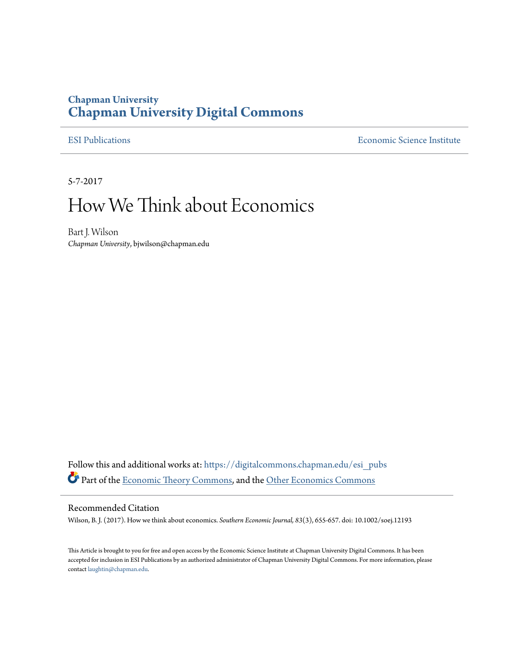## **Chapman University [Chapman University Digital Commons](https://digitalcommons.chapman.edu?utm_source=digitalcommons.chapman.edu%2Fesi_pubs%2F151&utm_medium=PDF&utm_campaign=PDFCoverPages)**

[ESI Publications](https://digitalcommons.chapman.edu/esi_pubs?utm_source=digitalcommons.chapman.edu%2Fesi_pubs%2F151&utm_medium=PDF&utm_campaign=PDFCoverPages) [Economic Science Institute](https://digitalcommons.chapman.edu/esi?utm_source=digitalcommons.chapman.edu%2Fesi_pubs%2F151&utm_medium=PDF&utm_campaign=PDFCoverPages)

5-7-2017

# How We Think about Economics

Bart J. Wilson *Chapman University*, bjwilson@chapman.edu

Follow this and additional works at: [https://digitalcommons.chapman.edu/esi\\_pubs](https://digitalcommons.chapman.edu/esi_pubs?utm_source=digitalcommons.chapman.edu%2Fesi_pubs%2F151&utm_medium=PDF&utm_campaign=PDFCoverPages) Part of the [Economic Theory Commons,](http://network.bepress.com/hgg/discipline/344?utm_source=digitalcommons.chapman.edu%2Fesi_pubs%2F151&utm_medium=PDF&utm_campaign=PDFCoverPages) and the [Other Economics Commons](http://network.bepress.com/hgg/discipline/353?utm_source=digitalcommons.chapman.edu%2Fesi_pubs%2F151&utm_medium=PDF&utm_campaign=PDFCoverPages)

#### Recommended Citation

Wilson, B. J. (2017). How we think about economics. *Southern Economic Journal, 83*(3), 655-657. doi: 10.1002/soej.12193

This Article is brought to you for free and open access by the Economic Science Institute at Chapman University Digital Commons. It has been accepted for inclusion in ESI Publications by an authorized administrator of Chapman University Digital Commons. For more information, please contact [laughtin@chapman.edu](mailto:laughtin@chapman.edu).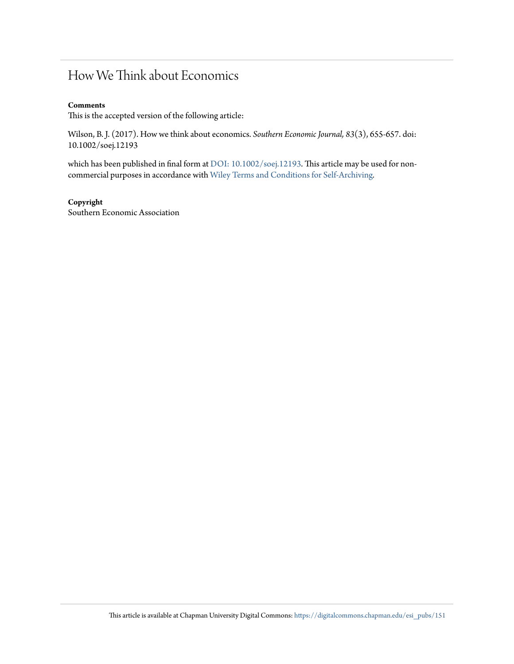# How We Think about Economics

#### **Comments**

This is the accepted version of the following article:

Wilson, B. J. (2017). How we think about economics. *Southern Economic Journal, 83*(3), 655-657. doi: 10.1002/soej.12193

which has been published in final form at [DOI: 10.1002/soej.12193.](https://doi.org/10.1002/soej.12193) This article may be used for noncommercial purposes in accordance with [Wiley Terms and Conditions for Self-Archiving](http://olabout.wiley.com/WileyCDA/Section/id-820227.html#terms)*.*

### **Copyright**

Southern Economic Association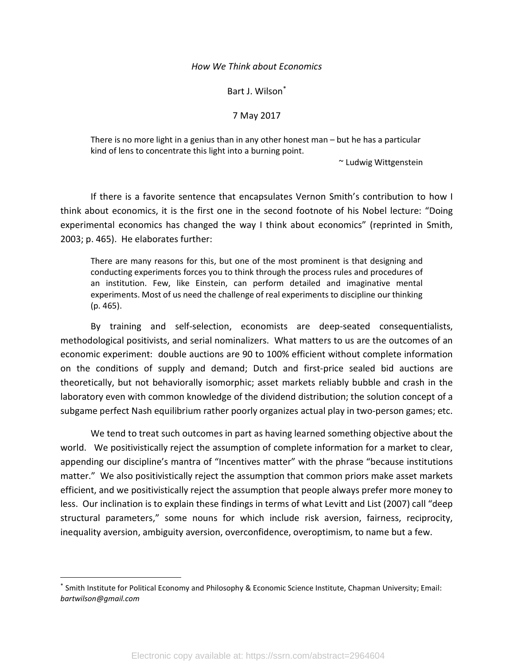#### How We Think about Economics

Bart J. Wilson\*

#### 7 May 2017

There is no more light in a genius than in any other honest man – but he has a particular kind of lens to concentrate this light into a burning point.

~ Ludwig Wittgenstein

If there is a favorite sentence that encapsulates Vernon Smith's contribution to how I think about economics, it is the first one in the second footnote of his Nobel lecture: "Doing experimental economics has changed the way I think about economics" (reprinted in Smith, 2003; p. 465). He elaborates further:

There are many reasons for this, but one of the most prominent is that designing and conducting experiments forces you to think through the process rules and procedures of an institution. Few, like Einstein, can perform detailed and imaginative mental experiments. Most of us need the challenge of real experiments to discipline our thinking (p. 465).

By training and self-selection, economists are deep-seated consequentialists, methodological positivists, and serial nominalizers. What matters to us are the outcomes of an economic experiment: double auctions are 90 to 100% efficient without complete information on the conditions of supply and demand; Dutch and first-price sealed bid auctions are theoretically, but not behaviorally isomorphic; asset markets reliably bubble and crash in the laboratory even with common knowledge of the dividend distribution; the solution concept of a subgame perfect Nash equilibrium rather poorly organizes actual play in two-person games; etc.

We tend to treat such outcomes in part as having learned something objective about the world. We positivistically reject the assumption of complete information for a market to clear, appending our discipline's mantra of "Incentives matter" with the phrase "because institutions matter." We also positivistically reject the assumption that common priors make asset markets efficient, and we positivistically reject the assumption that people always prefer more money to less. Our inclination is to explain these findings in terms of what Levitt and List (2007) call "deep structural parameters," some nouns for which include risk aversion, fairness, reciprocity, inequality aversion, ambiguity aversion, overconfidence, overoptimism, to name but a few.

<sup>\*</sup> Smith Institute for Political Economy and Philosophy & Economic Science Institute, Chapman University; Email: bartwilson@gmail.com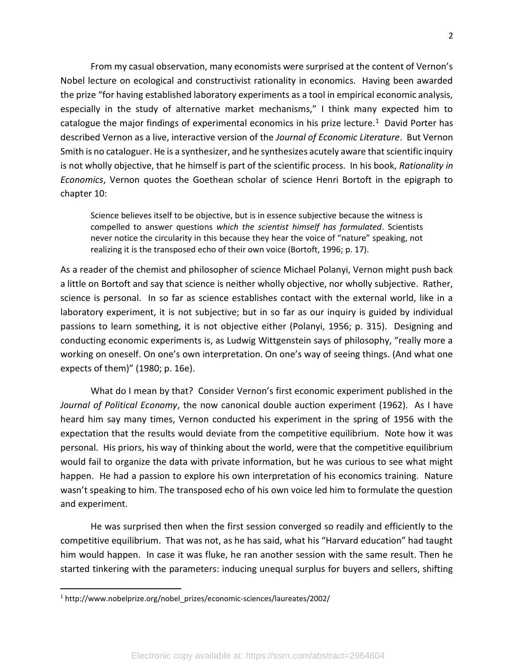From my casual observation, many economists were surprised at the content of Vernon's Nobel lecture on ecological and constructivist rationality in economics. Having been awarded the prize "for having established laboratory experiments as a tool in empirical economic analysis, especially in the study of alternative market mechanisms," I think many expected him to catalogue the major findings of experimental economics in his prize lecture.<sup>1</sup> David Porter has described Vernon as a live, interactive version of the Journal of Economic Literature. But Vernon Smith is no cataloguer. He is a synthesizer, and he synthesizes acutely aware that scientific inquiry is not wholly objective, that he himself is part of the scientific process. In his book, Rationality in Economics, Vernon quotes the Goethean scholar of science Henri Bortoft in the epigraph to chapter 10:

Science believes itself to be objective, but is in essence subjective because the witness is compelled to answer questions which the scientist himself has formulated. Scientists never notice the circularity in this because they hear the voice of "nature" speaking, not realizing it is the transposed echo of their own voice (Bortoft, 1996; p. 17).

As a reader of the chemist and philosopher of science Michael Polanyi, Vernon might push back a little on Bortoft and say that science is neither wholly objective, nor wholly subjective. Rather, science is personal. In so far as science establishes contact with the external world, like in a laboratory experiment, it is not subjective; but in so far as our inquiry is guided by individual passions to learn something, it is not objective either (Polanyi, 1956; p. 315). Designing and conducting economic experiments is, as Ludwig Wittgenstein says of philosophy, "really more a working on oneself. On one's own interpretation. On one's way of seeing things. (And what one expects of them)" (1980; p. 16e).

 What do I mean by that? Consider Vernon's first economic experiment published in the Journal of Political Economy, the now canonical double auction experiment (1962). As I have heard him say many times, Vernon conducted his experiment in the spring of 1956 with the expectation that the results would deviate from the competitive equilibrium. Note how it was personal. His priors, his way of thinking about the world, were that the competitive equilibrium would fail to organize the data with private information, but he was curious to see what might happen. He had a passion to explore his own interpretation of his economics training. Nature wasn't speaking to him. The transposed echo of his own voice led him to formulate the question and experiment.

 He was surprised then when the first session converged so readily and efficiently to the competitive equilibrium. That was not, as he has said, what his "Harvard education" had taught him would happen. In case it was fluke, he ran another session with the same result. Then he started tinkering with the parameters: inducing unequal surplus for buyers and sellers, shifting

<sup>1</sup> http://www.nobelprize.org/nobel\_prizes/economic-sciences/laureates/2002/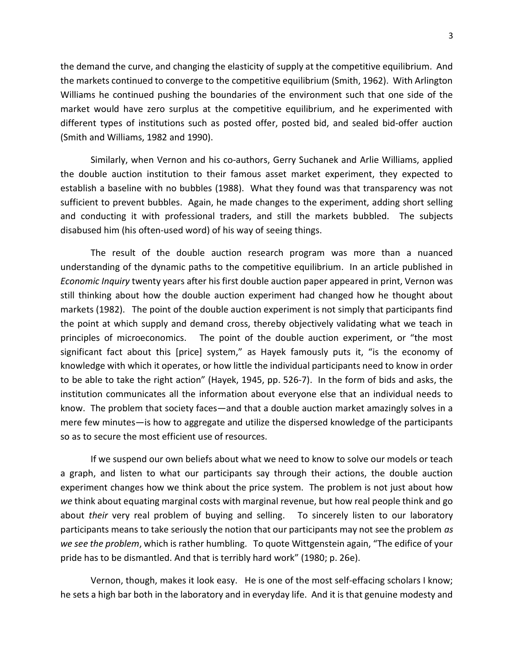the demand the curve, and changing the elasticity of supply at the competitive equilibrium. And the markets continued to converge to the competitive equilibrium (Smith, 1962). With Arlington Williams he continued pushing the boundaries of the environment such that one side of the market would have zero surplus at the competitive equilibrium, and he experimented with different types of institutions such as posted offer, posted bid, and sealed bid-offer auction (Smith and Williams, 1982 and 1990).

Similarly, when Vernon and his co-authors, Gerry Suchanek and Arlie Williams, applied the double auction institution to their famous asset market experiment, they expected to establish a baseline with no bubbles (1988). What they found was that transparency was not sufficient to prevent bubbles. Again, he made changes to the experiment, adding short selling and conducting it with professional traders, and still the markets bubbled. The subjects disabused him (his often-used word) of his way of seeing things.

The result of the double auction research program was more than a nuanced understanding of the dynamic paths to the competitive equilibrium. In an article published in Economic Inquiry twenty years after his first double auction paper appeared in print, Vernon was still thinking about how the double auction experiment had changed how he thought about markets (1982). The point of the double auction experiment is not simply that participants find the point at which supply and demand cross, thereby objectively validating what we teach in principles of microeconomics. The point of the double auction experiment, or "the most significant fact about this [price] system," as Hayek famously puts it, "is the economy of knowledge with which it operates, or how little the individual participants need to know in order to be able to take the right action" (Hayek, 1945, pp. 526-7). In the form of bids and asks, the institution communicates all the information about everyone else that an individual needs to know. The problem that society faces—and that a double auction market amazingly solves in a mere few minutes—is how to aggregate and utilize the dispersed knowledge of the participants so as to secure the most efficient use of resources.

If we suspend our own beliefs about what we need to know to solve our models or teach a graph, and listen to what our participants say through their actions, the double auction experiment changes how we think about the price system. The problem is not just about how we think about equating marginal costs with marginal revenue, but how real people think and go about their very real problem of buying and selling. To sincerely listen to our laboratory participants means to take seriously the notion that our participants may not see the problem as we see the problem, which is rather humbling. To quote Wittgenstein again, "The edifice of your pride has to be dismantled. And that is terribly hard work" (1980; p. 26e).

Vernon, though, makes it look easy. He is one of the most self-effacing scholars I know; he sets a high bar both in the laboratory and in everyday life. And it is that genuine modesty and